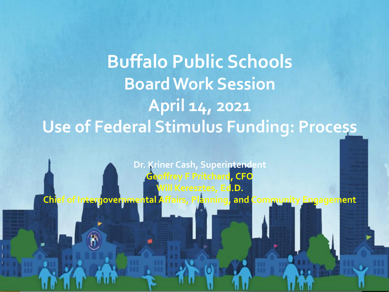# **Buffalo Public Schools Board Work Session April 14, 2021 Use of Federal Stimulus Funding: Process**

**Dr. Kriner Cash, Superintendent Geoffrey F Pritchard, CFO Will Keresztes, Ed.D. Chief of Intergovernmental Affairs, Planning, and Community Engagement**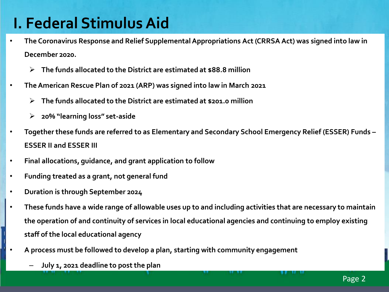## **I. Federal Stimulus Aid**

- **The Coronavirus Response and Relief Supplemental Appropriations Act (CRRSA Act) was signed into law in December 2020.** 
	- **The funds allocated to the District are estimated at \$88.8 million**
- **The American Rescue Plan of 2021 (ARP) was signed into law in March 2021**
	- **The funds allocated to the District are estimated at \$201.0 million**
	- **20% "learning loss" set-aside**
- **Together these funds are referred to as Elementary and Secondary School Emergency Relief (ESSER) Funds – ESSER II and ESSER III**
- **Final allocations, guidance, and grant application to follow**
- **Funding treated as a grant, not general fund**
- **Duration is through September 2024**
- **These funds have a wide range of allowable uses up to and including activities that are necessary to maintain the operation of and continuity of services in local educational agencies and continuing to employ existing staff of the local educational agency**
	- **A process must be followed to develop a plan, starting with community engagement**
		- **July 1, 2021 deadline to post the plan**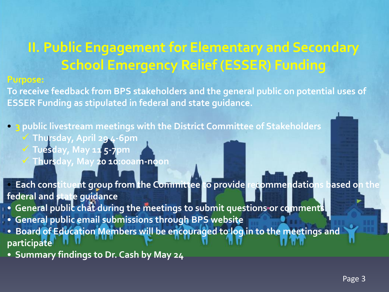### **II. Public Engagement for Elementary and Secondary School Emergency Relief (ESSER) Funding**

#### **Purpose:**

**To receive feedback from BPS stakeholders and the general public on potential uses of ESSER Funding as stipulated in federal and state guidance.**

**• 3 public livestream meetings with the District Committee of Stakeholders Thursday, April 29 4-6pm**

**Tuesday, May 11 5-7pm**

**Thursday, May 20 10:00am-noon**

**• Each constituent group from the Committee to provide recommendations based on the federal and state guidance**

**• General public chat during the meetings to submit questions or comments**

- **General public email submissions through BPS website**
- **Board of Education Members will be encouraged to log in to the meetings and participate**
- **Summary findings to Dr. Cash by May 24**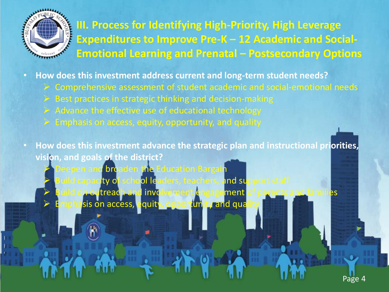

**III. Process for Identifying High-Priority, High Leverage Expenditures to Improve Pre-K – 12 Academic and Social-Emotional Learning and Prenatal – Postsecondary Options** 

• **How does this investment address current and long-term student needs?**

- $\triangleright$  Comprehensive assessment of student academic and social-emotional needs
- $\triangleright$  Best practices in strategic thinking and decision-making
- $\triangleright$  Advance the effective use of educational technology
- $\triangleright$  Emphasis on access, equity, opportunity, and quality
- **How does this investment advance the strategic plan and instructional priorities, vision, and goals of the district?** 
	- Deepen and broaden the Education Bargair Build capacity of school leaders, teachers, and support staff ald on outreach and involvement engagement
	- mphasis on access, equity, opportunity and qua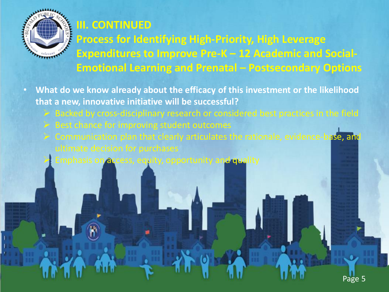

#### **III. CONTINUED**

**Process for Identifying High-Priority, High Leverage Expenditures to Improve Pre-K – 12 Academic and Social-Emotional Learning and Prenatal – Postsecondary Options** 

- **What do we know already about the efficacy of this investment or the likelihood that a new, innovative initiative will be successful?** 
	- $\triangleright$  Backed by cross-disciplinary research or considered best practices in the field
	- $\triangleright$  Best chance for improving student outcomes
	- $\triangleright$  Communication plan that clearly articulates the rationale, evidence-base, and
		- Emphasis on access, equity, opportunity and quality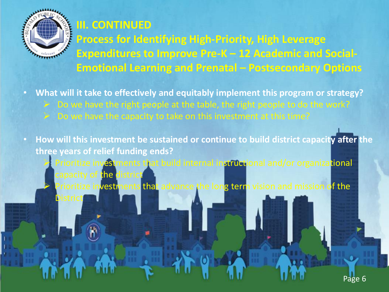

#### **III. CONTINUED**

**Process for Identifying High-Priority, High Leverage Expenditures to Improve Pre-K – 12 Academic and Social-Emotional Learning and Prenatal – Postsecondary Options** 

• **What will it take to effectively and equitably implement this program or strategy?** 

- $\geq$  Do we have the right people at the table, the right people to do the work?
- $\geq$  Do we have the capacity to take on this investment at this time?

• **How will this investment be sustained or continue to build district capacity after the three years of relief funding ends?**  Prioritize investments that build internal instructional and/or organizational capacity of the district Prioritize investments that advance the long term vision and mission of the **District**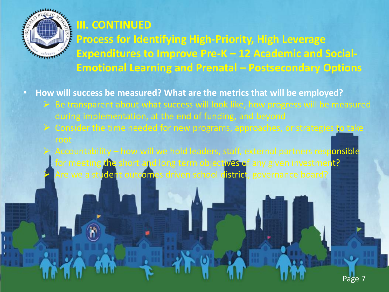

#### **III. CONTINUED**

**Process for Identifying High-Priority, High Leverage Expenditures to Improve Pre-K – 12 Academic and Social-Emotional Learning and Prenatal – Postsecondary Options** 

• **How will success be measured? What are the metrics that will be employed?** 

- $\triangleright$  Be transparent about what success will look like, how progress will be measured during implementation, at the end of funding, and beyond
- $\triangleright$  Consider the time needed for new programs, approaches, or strategies to take
- Accountability how will we hold leaders, staff, external partners responsible for meeting the short and long term objectives of any given investment? Are we a student outcomes driven school district, governance board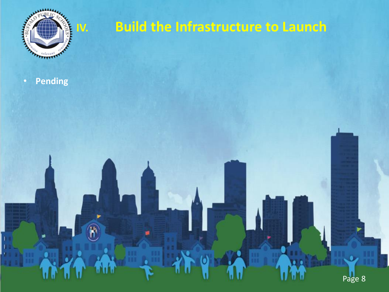

### **IV. Build the Infrastructure to Launch**

• **Pending**